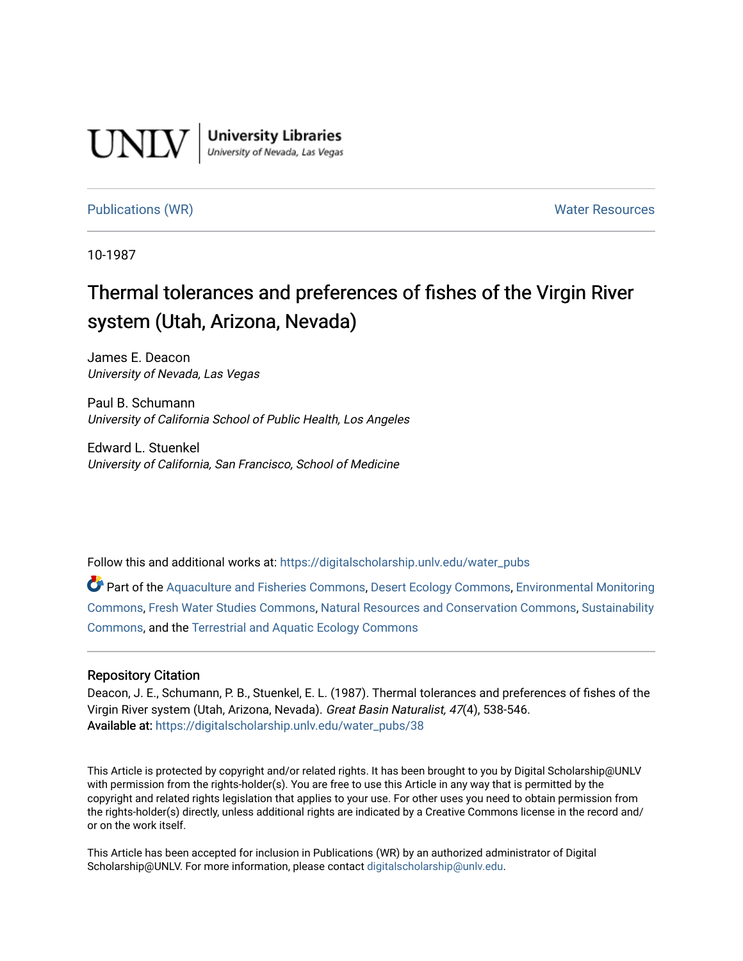

**University Libraries**<br>University of Nevada, Las Vegas

# [Publications \(WR\)](https://digitalscholarship.unlv.edu/water_pubs) Notifiable Resources and Mater Resources and Mater Resources

10-1987

# Thermal tolerances and preferences of fishes of the Virgin River system (Utah, Arizona, Nevada)

James E. Deacon University of Nevada, Las Vegas

Paul B. Schumann University of California School of Public Health, Los Angeles

Edward L. Stuenkel University of California, San Francisco, School of Medicine

Follow this and additional works at: [https://digitalscholarship.unlv.edu/water\\_pubs](https://digitalscholarship.unlv.edu/water_pubs?utm_source=digitalscholarship.unlv.edu%2Fwater_pubs%2F38&utm_medium=PDF&utm_campaign=PDFCoverPages) 

Part of the [Aquaculture and Fisheries Commons](http://network.bepress.com/hgg/discipline/78?utm_source=digitalscholarship.unlv.edu%2Fwater_pubs%2F38&utm_medium=PDF&utm_campaign=PDFCoverPages), [Desert Ecology Commons,](http://network.bepress.com/hgg/discipline/1261?utm_source=digitalscholarship.unlv.edu%2Fwater_pubs%2F38&utm_medium=PDF&utm_campaign=PDFCoverPages) [Environmental Monitoring](http://network.bepress.com/hgg/discipline/931?utm_source=digitalscholarship.unlv.edu%2Fwater_pubs%2F38&utm_medium=PDF&utm_campaign=PDFCoverPages)  [Commons](http://network.bepress.com/hgg/discipline/931?utm_source=digitalscholarship.unlv.edu%2Fwater_pubs%2F38&utm_medium=PDF&utm_campaign=PDFCoverPages), [Fresh Water Studies Commons](http://network.bepress.com/hgg/discipline/189?utm_source=digitalscholarship.unlv.edu%2Fwater_pubs%2F38&utm_medium=PDF&utm_campaign=PDFCoverPages), [Natural Resources and Conservation Commons](http://network.bepress.com/hgg/discipline/168?utm_source=digitalscholarship.unlv.edu%2Fwater_pubs%2F38&utm_medium=PDF&utm_campaign=PDFCoverPages), [Sustainability](http://network.bepress.com/hgg/discipline/1031?utm_source=digitalscholarship.unlv.edu%2Fwater_pubs%2F38&utm_medium=PDF&utm_campaign=PDFCoverPages) [Commons](http://network.bepress.com/hgg/discipline/1031?utm_source=digitalscholarship.unlv.edu%2Fwater_pubs%2F38&utm_medium=PDF&utm_campaign=PDFCoverPages), and the [Terrestrial and Aquatic Ecology Commons](http://network.bepress.com/hgg/discipline/20?utm_source=digitalscholarship.unlv.edu%2Fwater_pubs%2F38&utm_medium=PDF&utm_campaign=PDFCoverPages) 

# Repository Citation

Deacon, J. E., Schumann, P. B., Stuenkel, E. L. (1987). Thermal tolerances and preferences of fishes of the Virgin River system (Utah, Arizona, Nevada). Great Basin Naturalist, 47(4), 538-546. Available at: [https://digitalscholarship.unlv.edu/water\\_pubs/38](https://digitalscholarship.unlv.edu/water_pubs/38) 

This Article is protected by copyright and/or related rights. It has been brought to you by Digital Scholarship@UNLV with permission from the rights-holder(s). You are free to use this Article in any way that is permitted by the copyright and related rights legislation that applies to your use. For other uses you need to obtain permission from the rights-holder(s) directly, unless additional rights are indicated by a Creative Commons license in the record and/ or on the work itself.

This Article has been accepted for inclusion in Publications (WR) by an authorized administrator of Digital Scholarship@UNLV. For more information, please contact [digitalscholarship@unlv.edu.](mailto:digitalscholarship@unlv.edu)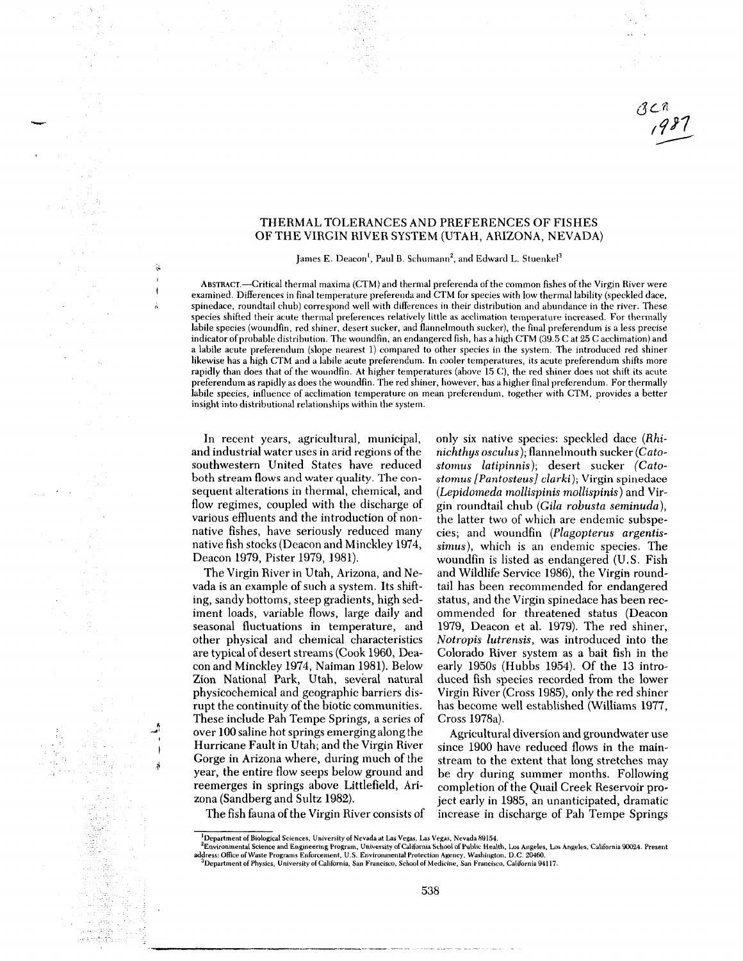#### THERMAL TOLERANCES AND PREFERENCES OF FISHES OF THE VIRGIN RIVER SYSTEM (UTAH, ARIZONA, NEVADA)

James E. Deacon<sup>1</sup>, Paul B. Schumann<sup>2</sup>, and Edward L. Stuenkel<sup>3</sup>

ABSTRACT.—Critical thermal maxima (CTM) and thermal preferenda of the common fishes of the Virgin River were examined. Differences in final temperature preferenda and CTM for species with low thermal lability (speckled dace, spinedace, roundtail chub) correspond well with differences in their distribution and abundance in the river. These species shifted their acute thermal preferences relatively little as acclimation temperature increased. For thermally labile species (woundfin, red shiner, desert sucker, and flannelmouth sucker), the final preferendum is a less precise indicator of probable distribution. The woundfin, an endangered fish, has a high CTM (39.5 C at 25 C acclimation) and a labile acute preferendum (slope nearest 1) compared to other species in the system. The introduced red shiner likewise has a high CTM and a labile acute preferendum. In cooler temperatures, its acute preferendum shifts more rapidly than does that of the woundfin. At higher temperatures (above 15 C), the red shiner does not shift its acute preferendum as rapidly as does the woundfin. The red shiner, however, has a higher final preferendum. For thermally labile species, influence of acclimation temperature on mean preferendum, together with CTM, provides a better insight into distributional relationships within the system.

In recent years, agricultural, municipal, and industrial water uses in arid regions of the southwestern United States have reduced both stream flows and water quality. The con sequent alterations in thermal, chemical, and flow regimes, coupled with the discharge of various effluents and the introduction of non native fishes, have seriously reduced many native fish stocks (Deacon and Minckley 1974, Deacon 1979, Pister 1979, 1981).

The Virgin River in Utah, Arizona, and Ne vada is an example of such a system. Its shift ing, sandy bottoms, steep gradients, high sed iment loads, variable flows, large daily and seasonal fluctuations in temperature, and other physical and chemical characteristics are typical of desert streams (Cook 1960, Dea con and Minckley 1974, Naiman 1981). Below Zion National Park, Utah, several natural physicochemical and geographic barriers dis rupt the continuity of the biotic communities. These include Pah Tempe Springs, a series of over 100 saline hot springs emerging along the Hurricane Fault in Utah; and the Virgin River Gorge in Arizona where, during much of the year, the entire flow seeps below ground and reemerges in springs above Littlefield, Ari zona (Sandberg and Sultz 1982).

only six native species: speckled dace *(Rhinichthys osculus);* flannelmouth sucker *(Catostomus latipinnis);* desert sucker *(Catostomus [Pantosteus] clarki);* Virgin spinedace *(Lepidorneda mollispinis mollispinis)* and Vir gin roundtail chub *(Gila robusta seminuda),* the latter two of which are endemic subspe cies; and woundfin *(Plagopterus argentissimus),* which is an endemic species. The woundfin is listed as endangered (U.S. Fish and Wildlife Service 1986), the Virgin round tail has been recommended for endangered status, and the Virgin spinedace has been rec ommended for threatened status (Deacon 1979, Deacon et al. 1979). The red shiner, *Notropis lutrensis,* was introduced into the Colorado River system as a bait fish in the early 1950s (Hubbs 1954). Of the 13 intro duced fish species recorded from the lower Virgin River (Cross 1985), only the red shiner has become well established (Williams 1977, Cross 1978a).

Agricultural diversion and groundwater use since 1900 have reduced flows in the main stream to the extent that long stretches may be dry during summer months. Following completion of the Quail Creek Reservoir pro ject early in 1985, an unanticipated, dramatic increase in discharge of Pah Tempe Springs

The fish fauna of the Virgin River consists of

<sup>&#</sup>x27;Department of Biological Sciences. University of Nevada at Las Vegas, Las Vegas. Nevada 89154.

Environmental Science and Engineering Program, University of California School of Public Health, Los Angeles, Los Angeles, California 90024. Present " (California 90024. Present " )<br>Address: Office of Waste Programs Enforc  $^3$ Department of Physics, University of California, San Francisco, School of Medicine, San Francisco, California 94117.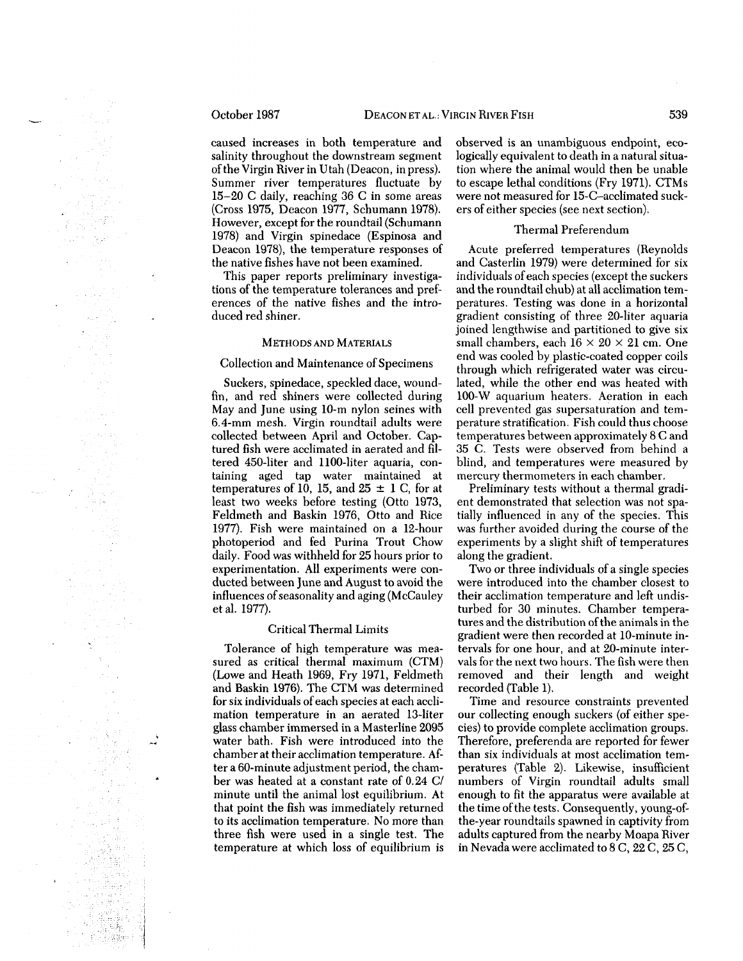# October 1987

cause d increases i n bot h temperature an d salinit y throughout the downstrea m segment of the Virgi n River i n Uta h (Deacon, i n press). Summer river temperatures fluctuate b y 15-20 C daily, reachin g 3 6 C i n some areas (Cross 1975, Deaco n 1977, Schuman n 1978). However, except for the roundtail (Schuman n 1978) an d Virgi n spinedace (Espinosa an d Deaco n 1978), the temperature responses of the native fishes have not bee n examined.

This paper reports preliminar y investiga tions of the temperature tolerances an d pref erences of the native fishes an d the intro duce d re d shiner.

#### METHODS AN D MATERIALS

#### Collectio n an d Maintenance of Specimens

Suckers, spinedace, speckle d dace, wound fin, an d re d shiners were collecte d durin g May an d June usin g 10- m nylon seines wit h 6.4-m m mesh. Virgi n roundtail adults were collecte d betwee n April an d October. Cap ture d fish were acclimate d i n aerate d an d fil tere d 450-liter an d 1100-liter aquaria, con taining age d ta p water maintaine d at temperatures of 10, 15, an d 25 ± 1 C, for at least tw o weeks before testin g (Ott o 1973, Feldmet h an d Baski n 1976, Ott o an d Rice 1977). Fis h were maintaine d o n a 12-hour photoperio d an d fe d Purina Trout Cho w daily. Foo d was withhel d for 25 hours prior to experimentation. All experiments were con ducte d betwee n June an d August t o avoi d the influences of seasonalit y an d agin g (McCaule y etal. 1977).

#### Critical Thermal Limits

Tolerance of hig h temperature was mea sure d as critical thermal maximu m (CTM) (Lowe an d Heat h 1969, Fry 1971, Feldmet h an d Baski n 1976). The CT M was determine d for si x individuals of eac h species at eac h accli matio n temperature i n a n aerate d 13-liter glass chamber immerse d i n a Masterline 2095 water bath. Fis h were introduce d int o the chamber at their acclimatio n temperature. Af ter a 60-minute adjustment period, the cham ber was heate d at a constant rate of 0.2 4 C/ minute until the animal lost equilibrium. At that point the fis h was immediatel y returne d to its acclimatio n temperature. No more tha n three fis h were use d i n a single test. The temperature at whic h loss of equilibriu m is

observe d is a n unambiguous endpoint, eco logicall y equivalent to deat h i n a natural situa tio n where the animal woul d the n be unable to escape lethal conditions (Fr y 1971). CTMs were not measure d for 15-C-acclimate d suck ers of either species (see next section).

#### Thermal Preferendu m

Acute preferre d temperatures (Reynolds an d Casterli n 1979) were determine d for si x individuals of eac h species (except the suckers an d the roundtail chub) at all acclimatio n tem peratures. Testin g was done i n a horizontal gradient consistin g of three 20-liter aquaria joine d lengthwise an d partitione d t o give si x small chambers, each  $16 \times 20 \times 21$  cm. One en d was coole d b y plastic-coate d copper coils throug h whic h refrigerate d water was circu lated, while the other en d was heate d wit h 100-W aquariu m heaters. Aeratio n i n eac h cell prevente d gas supersaturatio n an d tem perature stratification. Fis h coul d thus choose temperatures betwee n approximatel y 8 C an d 35 C. Tests were observe d fro m behin d a blind, an d temperatures were measure d b y mercur y thermometers i n eac h chamber.

Preliminar y tests without a thermal gradi ent demonstrate d that selectio n was not spa tially influenced i n an y of the species. This was further avoide d durin g the course of the experiments b y a slight shift of temperatures along the gradient.

Two or three individuals of a single species were introduced into the chamber closest to their acclimatio n temperature an d left undis turbe d for 3 0 minutes. Chamber tempera tures an d the distributio n of the animals in the gradient were the n recorde d at 10-minute in tervals for one hour, an d at 20-minute inter vals for the next two hours. The fis h were the n remove d an d their lengt h an d weight recorde d (Table 1).

Time an d resource constraints prevente d our collectin g enoug h suckers (of either spe cies) t o provide complete acclimatio n groups. Therefore, preferenda are reporte d for fewer tha n si x individuals at most acclimatio n tem peratures (Table 2). Likewise, insufficient numbers of Virgi n roundtail adults small enoug h t o fit the apparatus were available at the time of the tests. Consequently, young-of the-year roundtails spawne d i n captivit y fro m adults capture d fro m the nearb y Moapa River in Nevada were acclimate d t o 8 C, 2 2 C, 25 C,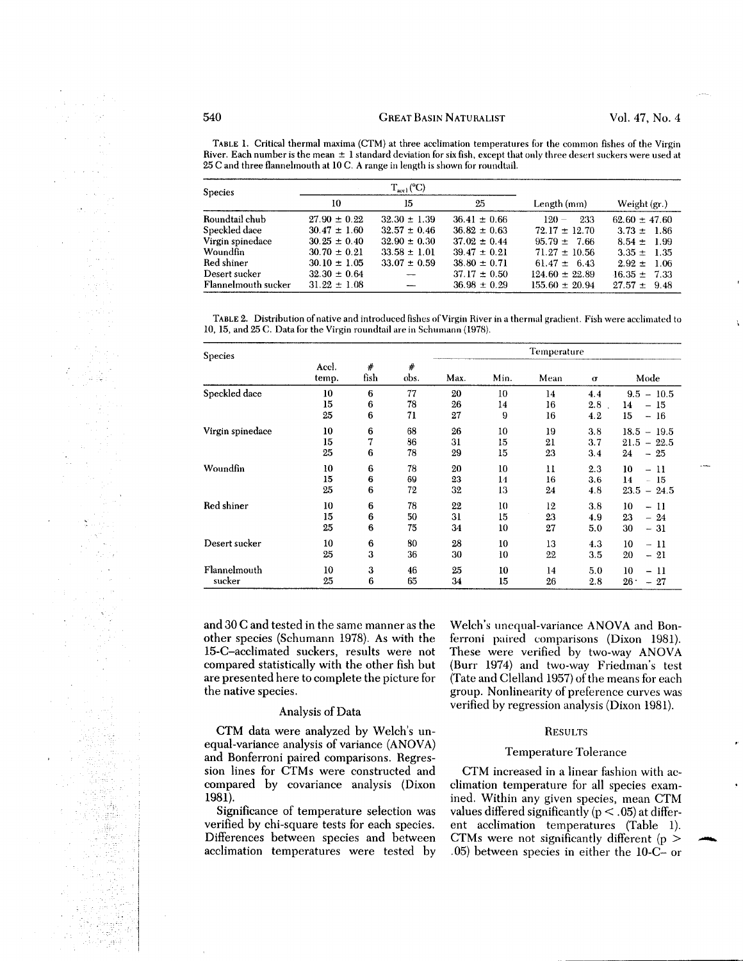TABLE 1. Critical thermal maxima (CTM) at three acclimation temperatures for the common fishes of the Virgin River. Each number is the mean ± 1 standard deviation for six fish, except that only three desert suckers were used at 25 C and three flannelmouth at 10 C. A range in length is shown for roundtail.

| <b>Species</b>      |                  | $T_{\text{act}}$ (°C) |                  |                    |                   |  |
|---------------------|------------------|-----------------------|------------------|--------------------|-------------------|--|
|                     | 10               | 15                    | 25               | Length (mm)        | Weight $(gr.)$    |  |
| Roundtail chub      | $27.90 \pm 0.22$ | $32.30 \pm 1.39$      | $36.41 \pm 0.66$ | 233<br>$120 -$     | $62.60 \pm 47.60$ |  |
| Speckled dace       | $30.47 \pm 1.60$ | $32.57 \pm 0.46$      | $36.82 \pm 0.63$ | $72.17 \pm 12.70$  | $3.73 \pm 1.86$   |  |
| Virgin spinedace    | $30.25 \pm 0.40$ | $32.90 \pm 0.30$      | $37.02 \pm 0.44$ | $95.79 \pm 7.66$   | $8.54 \pm 1.99$   |  |
| Woundfin            | $30.70 \pm 0.21$ | $33.58 \pm 1.01$      | $39.47 \pm 0.21$ | $71.27 \pm 10.56$  | $3.35 \pm 1.35$   |  |
| Red shiner          | $30.10 \pm 1.05$ | $33.07 \pm 0.59$      | $38.80 \pm 0.71$ | $61.47 \pm 6.43$   | $2.92 \pm 1.06$   |  |
| Desert sucker       | $32.30 \pm 0.64$ |                       | $37.17 \pm 0.50$ | $124.60 \pm 22.89$ | $-16.35 \pm 7.33$ |  |
| Flannelmouth sucker | $31.22 \pm 1.08$ |                       | $36.98 \pm 0.29$ | $155.60 \pm 20.94$ | $27.57 \pm 9.48$  |  |

TABLE 2. Distribution of native and introduced fishes of Virgin River in a thermal gradient. Fish were acclimated to 10, 15, and 25 C. Data for the Virgin roundtail are in Schumann (1978).

| <b>Species</b>         |                |             |                | Temperature    |                |                |                   |                                                          |
|------------------------|----------------|-------------|----------------|----------------|----------------|----------------|-------------------|----------------------------------------------------------|
|                        | Accl.<br>temp. | #<br>fish   | #<br>obs.      | Max.           | Min.           | Mean           | σ                 | Mode                                                     |
| Speckled dace          | 10<br>15<br>25 | 6<br>6<br>6 | 77<br>78<br>71 | 20<br>26<br>27 | 10<br>14<br>9  | 14<br>16<br>16 | 4.4<br>2.8<br>4.2 | $9.5 - 10.5$<br>14<br>- 15<br>15<br>$-16$                |
| Virgin spinedace       | 10<br>15<br>25 | 6<br>7<br>6 | 68<br>86<br>78 | 26<br>31<br>29 | 10<br>15<br>15 | 19<br>21<br>23 | 3.8<br>3.7<br>3.4 | $-19.5$<br>18.5<br>$21.5 - 22.5$<br>24<br>$-25$          |
| Woundfin               | 10<br>15<br>25 | 6<br>6<br>6 | 78<br>69<br>72 | 20<br>23<br>32 | 10<br>14<br>13 | 11<br>16<br>24 | 2.3<br>3.6<br>4.8 | 10<br>$-11$<br>14<br>- 15<br>$23.5 - 24.5$               |
| Red shiner             | 10<br>15<br>25 | 6<br>6<br>6 | 78<br>50<br>75 | 22<br>31<br>34 | 10<br>15<br>10 | 12<br>23<br>27 | 3.8<br>4.9<br>5.0 | 10<br>-11<br>Ξ.<br>23<br>$-24$<br>30<br>$-31$            |
| Desert sucker          | 10<br>25       | 6<br>3      | 80<br>36       | 28<br>30       | 10<br>10       | 13<br>22       | 4.3<br>3.5        | 10<br>- 11<br>20<br>$-21$                                |
| Flannelmouth<br>sucker | 10<br>25       | 3<br>6      | 46<br>65       | 25<br>34       | 10<br>15       | 14<br>26       | 5.0<br>2.8        | 10<br>-11<br>$\overline{\phantom{0}}$<br>$26 -$<br>$-27$ |

and 30 C and tested in the same manner as the other species (Schumann 1978). As with the 15-C-acclimated suckers, results were not compared statistically with the other fish but are presented here to complete the picture for the native species.

#### Analysis of Data

CTM data were analyzed by Welch's un equal-variance analysis of variance (ANOVA) and Bonferroni paired comparisons. Regres sion lines for CTMs were constructed and compared by covariance analysis (Dixon 1981).

Significance of temperature selection was verified by chi-square tests for each species. Differences between species and between acclimation temperatures were tested by

Welch's unequal-variance ANOVA and Bon ferroni paired comparisons (Dixon 1981). These were verified by two-way ANOVA (Burr 1974) and two-way Friedman's test (Tate and Clelland 1957) of the means for each group. Nonlinearity of preference curves was verified by regression analysis (Dixon 1981).

#### RESULTS

#### Temperature Tolerance

CTM increased in a linear fashion with ac climation temperature for all species exam ined. Within any given species, mean CTM values differed significantly ( $p < .05$ ) at different acclimation temperatures (Table 1). CTMs were not significantly different ( $p >$ .05) between species in either the 10-C- or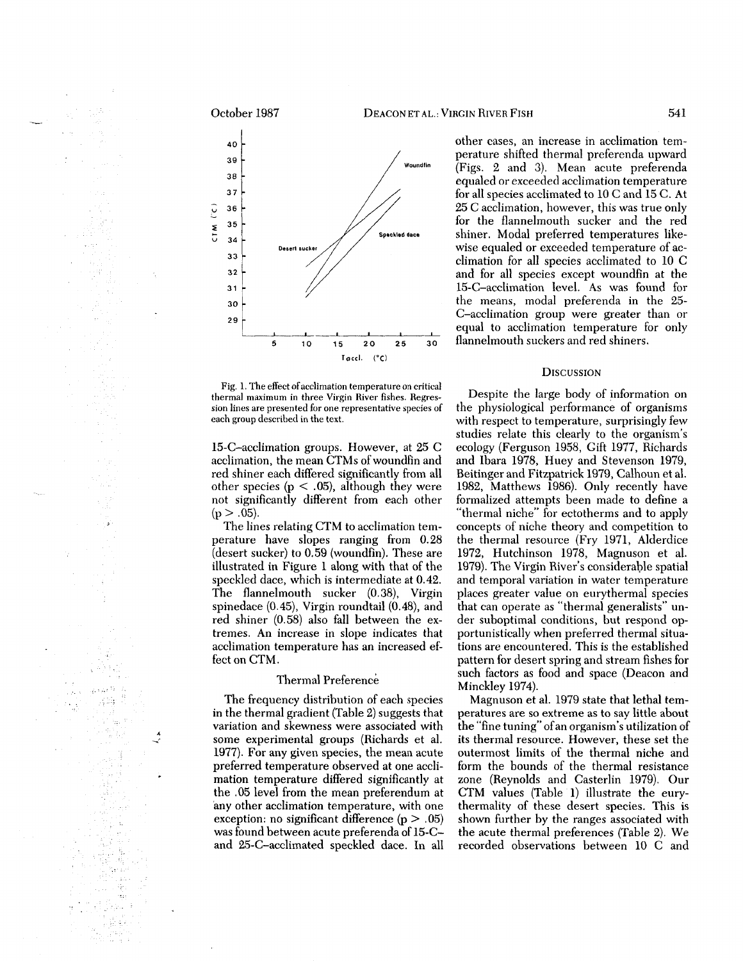#### October 1987



Fig. 1. The effect of acclimation temperature on critical thermal maximu m in three Virgin River fishes. Regres sion lines are presented for one representative species of each group described in the text.

15-C-acclimatio n groups. However, at 25 C acclimation, the mea n CTMs of woundfin an d re d shiner eac h differe d significantl y fro m all other species (p  $<$  .05), although they were not significantly different fro m eac h other  $(p > .05)$ .

The lines relatin g CT M to acclimatio n tem perature have slopes rangin g fro m 0.28 (desert sucker) to 0.59 (woundfin). These are illustrate d i n Figure 1 alon g wit h that of the speckle d dace, whic h is intermediate at 0.42. The flannelmout h sucker (0.38), Virgin spinedace (0.45), Virgi n roundtail (0.48), an d re d shiner (0.58) also fall betwee n the ex tremes. A n increase i n slope indicates that acclimatio n temperature has a n increase d ef fect o n CTM.

# Thermal Preference

The frequenc y distributio n of eac h species in the thermal gradient (Table 2) suggests that variatio n an d skewness were associate d wit h some experimental groups (Richards et al. 1977). For an y give n species, the mea n acute preferre d temperature observe d at one accli matio n temperature differed significantly at the .05 level fro m the mea n preferendu m at any other acclimatio n temperature, wit h one exception: n o significant difference ( p > .05) was found betwee n acute preferenda of 15-C an d 25-C-acclimate d speckle d dace. I n all

other cases, a n increase i n acclimatio n tem perature shifted thermal preferenda upwar d (Figs. 2 an d 3). Mea n acute preferenda equale d or exceede d acclimatio n temperature for all species acclimate d to 1 0 C an d 15 C. At 25 C acclimation, however, this was true onl y for the flannelmout h sucker an d the re d shiner. Modal preferre d temperatures like wise equale d or exceede d temperature of ac climatio n for all species acclimate d to 1 0 C an d for all species except woundfin at the 15-C-acclimatio n level. As was foun d for the means, modal preferenda i n the 25- C-acclimatio n grou p were greater tha n or equal to acclimatio n temperature for onl y flannelmout h suckers an d re d shiners.

n et al.: Virgin River Fis

#### DISCUSSIO N

Despite the large bod y of information o n the physiological performance of organisms wit h respect to temperature, surprisingl y fe w studies relate this clearl y t o the organism's ecolog y (Ferguso n 1958, Gift 1977, Richards an d Ibara 1978, Hue y an d Stevenso n 1979, Beitinger an d Fitzpatric k 1979, Calhou n et al. 1982, Matthews 1986). Only recently have formalize d attempts bee n made to define a "thermal niche" for ectotherms an d to appl y concepts of niche theor y and competitio n to the thermal resource (Fr y 1971, Alderdice 1972, Hutchinso n 1978, Magnuso n et al. 1979). The Virgi n River's considerable spatial an d temporal variatio n i n water temperature places greater value o n eurythermal species that ca n operate as "thermal generalists" un der suboptimal conditions, but respon d op portunistically whe n preferre d thermal situa tions are encountered. This is the establishe d patter n for desert sprin g an d strea m fishes for suc h factors as food an d space (Deaco n an d Minckley 1974).

Magnuso n et al. 1979 state that lethal tem peratures are s o extreme as t o sa y little about the "fine tuning" of a n organism's utilizatio n of its thermal resource. However, these set the outermost limits of the thermal niche an d for m the bounds of the thermal resistance zone (Reynolds an d Casterli n 1979). Our CT M values (Table 1) illustrate the eury thermalit y of these desert species. This is show n further b y the ranges associate d wit h the acute thermal preferences (Table 2). We recorde d observations betwee n 1 0 C an d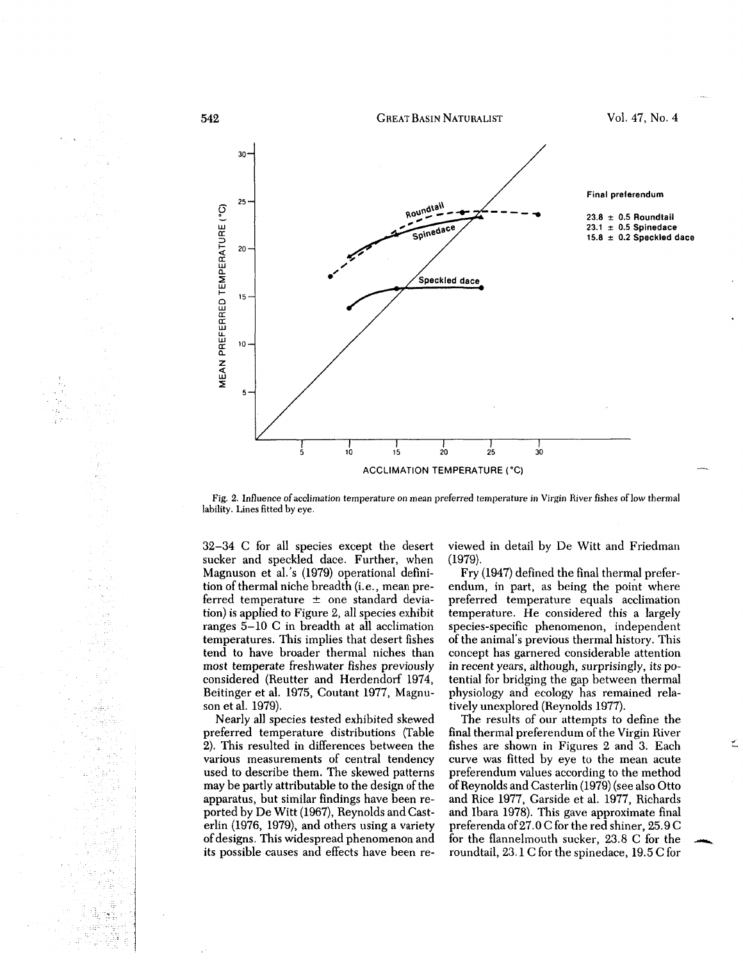

Fig. 2. Influence of acclimation temperature on mean preferred temperature in Virgin River fishes of low thermal lability. Lines fitted by eye.

32-34 C for all species except the desert sucker and speckled dace. Further, when Magnuson et al.'s (1979) operational defini tion of thermal niche breadth (i.e., mean pre ferred temperature  $\pm$  one standard deviation) is applied to Figure 2, all species exhibit ranges 5-10 C in breadth at all acclimation temperatures. This implies that desert fishes tend to have broader thermal niches than most temperate freshwater fishes previously considered (Reutter and Herdendorf 1974, Beitinger et al. 1975, Coutant 1977, Magnu son et al. 1979). 32–34 C for all species except the desert viewed in detail by De Witt and Friedman<br>
modestr and speckled dace. Further, when (1979).<br>
Magnuson et al.'s (1979) operational defini-<br>
Fry (1947) defined the final thermal pref

Nearly all species tested exhibited skewed preferred temperature distributions (Table 2). This resulted in differences between the various measurements of central tendency used to describe them. The skewed patterns may be partly attributable to the design of the apparatus, but similar findings have been re ported by De Witt (1967), Reynolds and Cast erlin (1976, 1979), and others using a variety of designs. This widespread phenomenon and

b.

Ľ.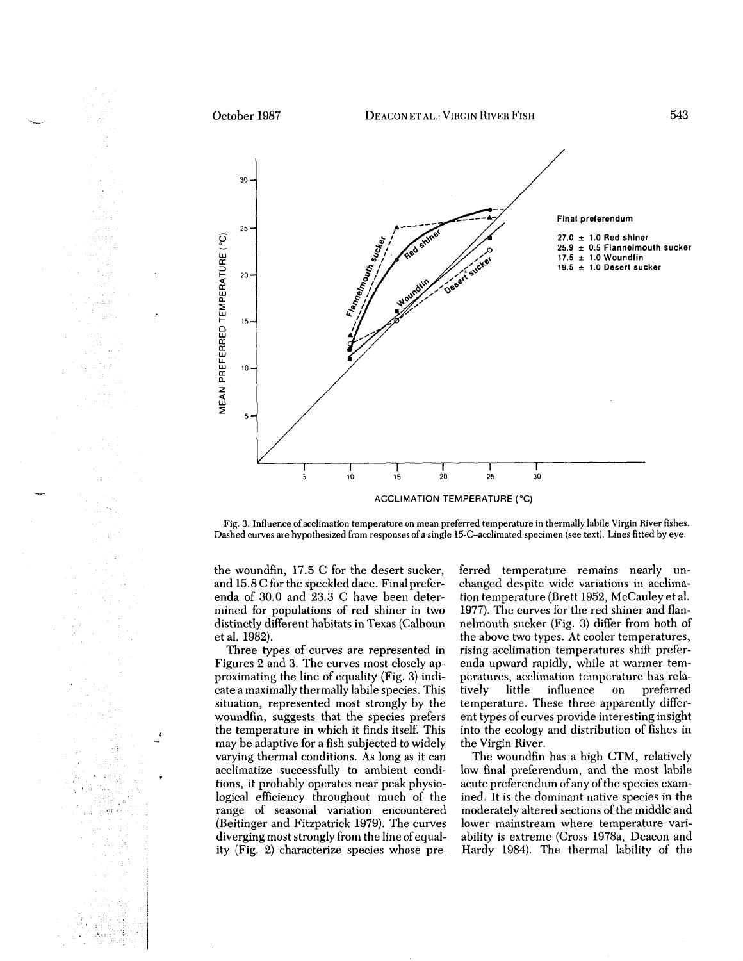

Fig. 3. Influence of acclimation temperature on mean preferred temperature in thermally labile Virgin River fishes. Dashed curves are hypothesized from responses of a single 15-C-acclimated specimen (see text). Lines fitted by eye.

the woundfin, 17.5 C for the desert sucker, and 15.8 C for the speckled dace. Final prefer enda of 30.0 and 23.3 C have been deter mined for populations of red shiner in two distinctly different habitats in Texas (Calhoun et al. 1982).

Three types of curves are represented in Figures 2 and 3. The curves most closely ap proximating the line of equality (Fig. 3) indi cate a maximally thermally labile species. This situation, represented most strongly by the woundfin, suggests that the species prefers the temperature in which it finds itself. This may be adaptive for a fish subjected to widely varying thermal conditions. As long as it can acclimatize successfully to ambient condi tions, it probably operates near peak physio logical efficiency throughout much of the range of seasonal variation encountered (Beitinger and Fitzpatrick 1979). The curves diverging most strongly from the line of equal the woundfin, 17.5 C for the desert sucker, ferred temperature remains nearly un-<br>and 5.8 C for the speckled dace. Final prefer- changed despite wide variations in acclima-<br>and 5.9 C for the speckled dace. Final prefer-<br>an

 $\pmb{\ell}$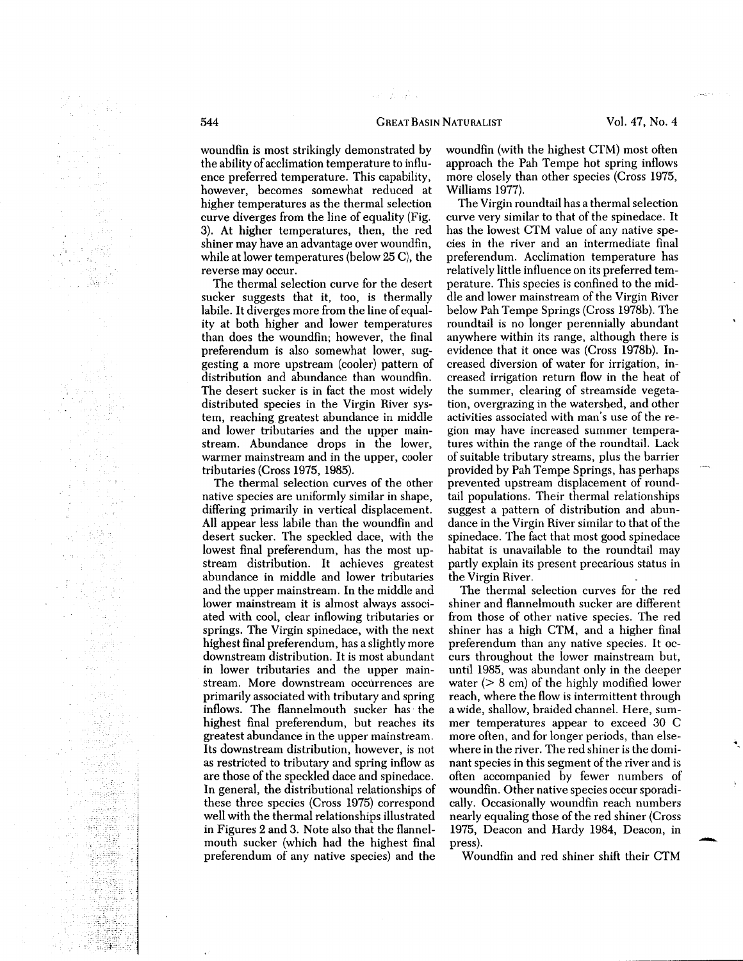#### **GREAT BASIN NATURALIST**

an wasan k

woundfin is most strikingly demonstrate d b y the abilit y of acclimatio n temperature to influ ence preferre d temperature. This capability, however, becomes somewhat reduce d at higher temperatures as the thermal selectio n curve diverges fro m the line of equalit y (Fig. 3). At higher temperatures, then, the re d shiner ma y have a n advantage over woundfin, while at lower temperatures (belo w 25 C), the reverse ma y occur.

The thermal selectio n curve for the desert sucker suggests that it, too, is thermall y labile. It diverges more fro m the line of equal it y at bot h higher an d lower temperatures tha n does the woundfin; however, the final preferendu m is also somewhat lower, sug gestin g a more upstrea m (cooler) patter n of distributio n an d abundance tha n woundfin. The desert sucker is i n fact the most widel y distribute d species i n the Virgi n River sys tem, reachin g greatest abundance i n middle an d lower tributaries an d the upper main stream. Abundance drops i n the lower, warmer mainstrea m an d i n the upper, cooler tributaries (Cross 1975, 1985).

The thermal selectio n curves of the other native species are uniformly similar i n shape, differing primaril y i n vertical displacement. All appear less labile tha n the woundfin an d desert sucker. The speckle d dace, wit h the lowest final preferendum, has the most up strea m distribution. It achieves greatest abundance i n middle an d lower tributaries an d the upper mainstream. I n the middle an d lower mainstrea m it is almost always associ ate d wit h cool, clear inflowing tributaries or springs. The Virgi n spinedace, wit h the next highest final preferendum, has a slightl y more downstrea m distribution. It is most abundant in lower tributaries an d the upper main stream. More downstrea m occurrences are primaril y associate d wit h tributar y an d sprin g inflows. The flannelmout h sucker has the highest final preferendum, but reaches its greatest abundance i n the upper mainstream. Its downstrea m distribution, however, is not as restricte d to tributar y an d sprin g inflo w as are those of the speckle d dace an d spinedace. In general, the distributional relationships of these three species (Cross 1975) correspon d well wit h the thermal relationships illustrate d in Figures 2 an d 3. Note also that the flannel mout h sucker (whic h ha d the highest final preferendu m of an y native species) an d the

woundfin (wit h the highest CTM) most often approac h the Pa h Tempe hot sprin g inflows more closel y tha n other species (Cross 1975, Williams 1977).

The Virgin roundtail has a thermal selectio n curve ver y similar to that of the spinedace. It has the lowest CT M value of an y native spe cies i n the river an d a n intermediate final preferendum. Acclimatio n temperature has relativel y little influence o n its preferre d tem perature. This species is confine d to the mid dle an d lower mainstrea m of the Virgin River belo w Pa h Tempe Springs (Cross 1978b). The roundtail is no longer perenniall y abundant anywhere withi n its range, althoug h there is evidence that it once was (Cross 1978b). In crease d diversio n of water for irrigation, in crease d irrigatio n retur n flo w i n the heat of the summer, clearin g of streamside vegeta tion, overgrazin g i n the watershed, an d other activities associate d wit h man's use of the re gio n ma y have increase d summer tempera tures withi n the range of the roundtail. Lac k of suitable tributar y streams, plus the barrier provide d b y Pa h Tempe Springs, has perhaps prevente d upstrea m displacement of round tail populations. Their thermal relationships suggest a patter n of distributio n an d abun dance i n the Virgi n River similar to that of the spinedace. The fact that most goo d spinedace habitat is unavailable to the roundtail ma y partl y explai n its present precarious status i n the Virgi n River.

The thermal selectio n curves for the re d shiner an d flannelmout h sucker are different fro m those of other native species. The re d shiner has a hig h CTM, an d a higher final preferendu m tha n an y native species. It oc curs throughout the lower mainstrea m but, until 1985, was abundant only i n the deeper water ( > 8 cm) of the highl y modified lower reach, where the flo w is intermittent throug h a wide, shallow, braide d channel. Here, sum mer temperatures appear t o excee d 3 0 C more often, an d for longer periods, tha n else where i n the river. The re d shiner is the domi nant species i n this segment of the river an d is often accompanie d b y fewer numbers of woundfin. Other native species occur sporadi cally. Occasionall y woundfin reac h numbers nearl y equalin g those of the re d shiner (Cross 1975, Deaco n an d Hard y 1984, Deacon, i n press).

Woundfi n an d re d shiner shift their CT M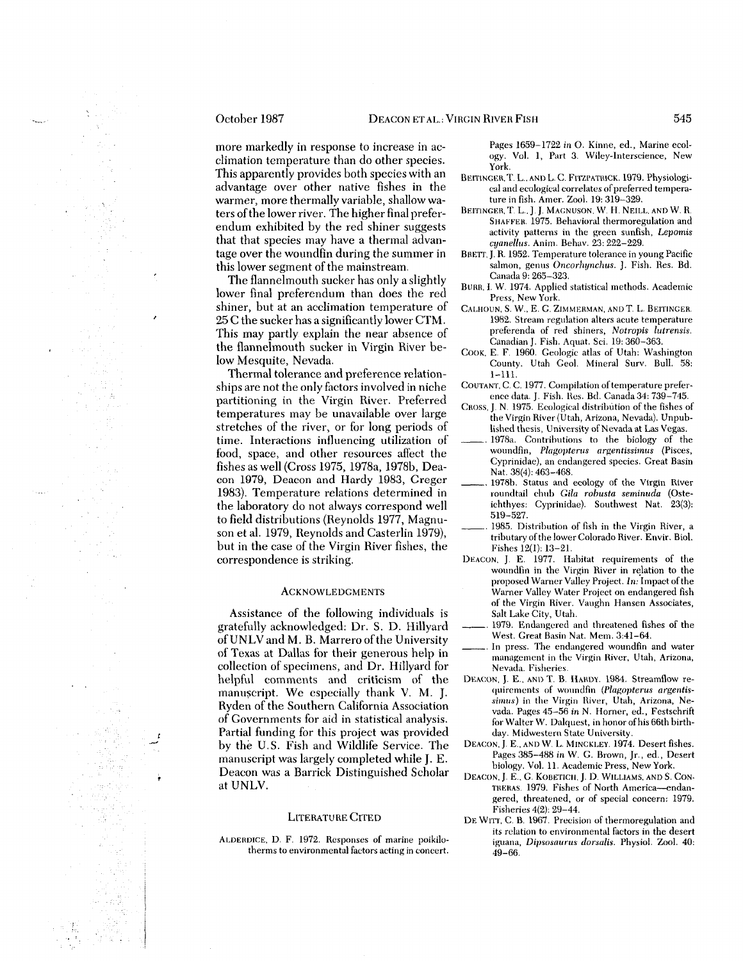more markedl y i n response to increase i n ac climatio n temperature tha n do other species. This apparentl y provides bot h species wit h a n advantage over other native fishes i n the warmer, more thermall y variable, shallo w wa ters of the lower river. The higher final prefer endu m exhibite d b y the re d shiner suggests that that species ma y have a thermal advan tage over the woundfin during the summer in this lower segment of the mainstream.

The flannelmout h sucker has onl y a slightl y lower final preferendu m tha n does the re d shiner, but at a n acclimatio n temperature of 25 C the sucker has a significantly lower CTM. This ma y partl y explai n the near absence of the flannelmout h sucker i n Virgi n River be lo w Mesquite, Nevada.

Thermal tolerance an d preference relation ships are not the onl y factors involve d i n niche partitioning i n the Virgi n River. Preferre d temperatures ma y be unavailable over large stretches of the river, or for long periods of time. Interactions influencing utilizatio n of food, space, an d other resources affect the fishes as well (Cross 1975, 1978a, 1978b, Dea co n 1979, Deaco n an d Hard y 1983, Greger 1983). Temperature relations determine d i n the laborator y do not always correspon d well to fiel d distributions (Reynolds 1977, Magnu so n et al. 1979, Reynolds an d Casterli n 1979), but i n the case of the Virgin River fishes, the correspondence is striking.

#### ACKNOWLEDGMENTS

Assistance of the following individuals is gratefully acknowledged: Dr. S. D. Hillyar d of UNL V and M. B. Marrero of the University of Texas at Dallas for their generous hel p i n collectio n of specimens, and Dr. Hillyard for helpful comments an d criticis m of the manuscript. We especiall y than k V. M. J. Ryde n of the Souther n California Associatio n of Governments for aid in statistical analysis. Partial funding for this project was provide d b y the U.S. Fis h an d Wildlife Service. The manuscript was largel y complete d while J. E. Deaco n was a Barric k Distinguishe d Scholar at UNLV.

#### LITERATURE CITE D

ALDEROICE, D. F. 1972. Responses of marine poikilo therms to environmental factors acting in concert.

Pages 1659-1722 *in O.* Kinne, ed., Marine ecol ogy. Vol. 1, Part 3. Wiley-Interscience, Ne w York.

BEITINGER, T. L., AND L. C. FITZPATRICK. 1979. Physiological and ecological correlates of preferred tempera ture in fish. Amer. Zool. 19: 319-329.

N ETAL.: VIRGI N RIVE R FIS

- BEITINGER, T. L., J. J. MAGNUSON, W. H. NEILL, AND W. R. SHAFFEH. 1975. Behavioral thermoregulation and activity patterns in the green sunfish, *Lepomis cyanellus.* Anim. Behav. 23: 222-229.
- BRETT, J. R. 1952. Temperature tolerance in young Pacific salmon, genus *Oncorhynchus.* J. Fish. Res. Bd. Canada 9: 265-323.
- BURR, I. W. 1974. Applied statistical methods. Academic Press, Ne w York.
- CALHOUN, S. W., E. G. ZIMMERMAN, ANDT. L. BEITINGER. 1982. Strea m regulation alters acute temperature preferenda of red shiners, *Notropis lutrensis.* Canadian]. Fish. Aquat. Sci. 19:360-363.
- COOK, E. F. 1960. Geologic atlas of Utah: Washington County. Utah Geol. Mineral Surv. Bull. 58: 1-111.
- COUTANT, C. C. 1977. Compilation of temperature prefer ence data. J. Fish. Res. Bd. Canada 34: 739-745.
- CROSS, J. N. 1975. Ecological distribution of the fishes of the Virgin River (Utah, Arizona, Nevada). Unpub lished thesis, University of Nevada at Las Vegas.
- 1978a. Contributions to the biology of the woundfin, *Plagopterus argentissimus* (Pisces, Cyprinidae), an endangered species. Great Basin Nat. 38(4): 463-468.
- 1978b. Status and ecology of the Virgin River roundtail chub *Gila robusta seminuda* (Oste ichthyes: Cyprinidae). Southwest Nat. 23(3): 519-527.
- 1985. Distribution of fish in the Virgin River, a tributary of the lower Colorado River. Envir. Biol. Fishes 12(1): 13-21.
- DEACON, J. E. 1977. Habitat requirements of the woundfin in the Virgin River in relation to the proposed Warner Valley Project. *In:* Impact of the Warner Valley Water Project on endangered fish of the Virgin River. Vaughn Hansen Associates, Salt Lake City, Utah.
- 1979. Endangered and threatened fishes of the West. Great Basin Nat. Mem. 3:41-64.
- In press. The endangered woundfin and water management in the Virgin River, Utah, Arizona, Nevada. Fisheries.
- DEACON, J. E., AND T. B. HARDY. 1984. Streamflo w re quirements of woundfin *(Plagopterus argentissimus)* in the Virgin River, Utah, Arizona, Ne vada. Pages 45-56 *in* N. Horner, ed., Festschrift for Walter W. Dalquest, in honor of his 66th birth day. Midwestern State University.
- DEACON,]. E..ANDW. L. MINCKLEY. 1974. Desert fishes. Pages 385-488 in W. G. Brown, ]r., ed., Desert biology. Vol. 11. Academic Press, Ne w York.
- DEACON, J. E., G. KOBETICII, J. D. WILLIAMS. AND S. CON- THEHAS. 1979. Fishes of North America—endan gered, threatened, or of special concern: 1979. Fisheries 4(2): 29-44.
- DE WITT, C. B. 1967. Precision of thermoregulation and its relation to environmental factors in the desert iguana, *Dipsosaurus dorsalis.* Physiol. Zool. 40: 49-66.